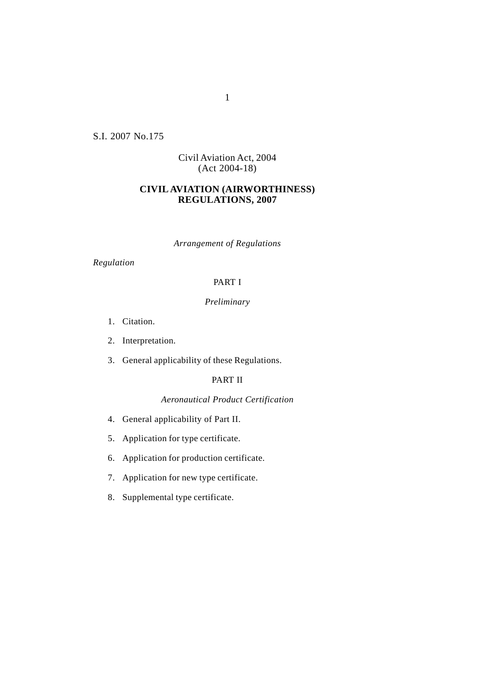S.I. 2007 No.175

# Civil Aviation Act, 2004 (Act 2004-18)

# **CIVIL AVIATION (AIRWORTHINESS) REGULATIONS, 2007**

*Arrangement of Regulations*

*Regulation*

# PART I

# *Preliminary*

- 1. Citation.
- 2. Interpretation.
- 3. General applicability of these Regulations.

# PART II

## *Aeronautical Product Certification*

- 4. General applicability of Part II.
- 5. Application for type certificate.
- 6. Application for production certificate.
- 7. Application for new type certificate.
- 8. Supplemental type certificate.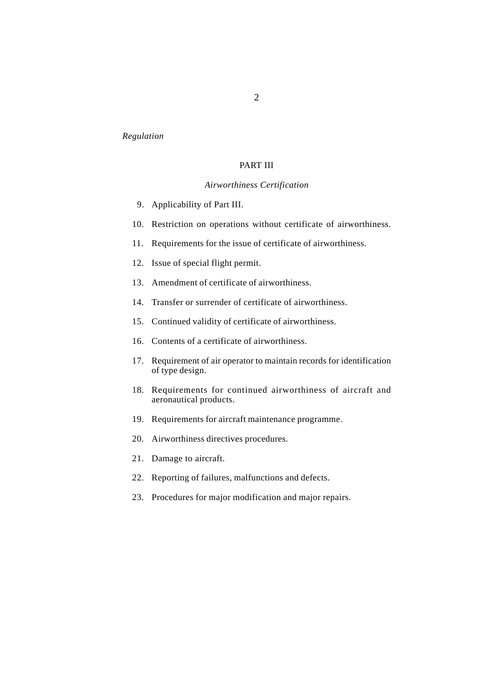### *Regulation*

# PART III

### *Airworthiness Certification*

- 9. Applicability of Part III.
- 10. Restriction on operations without certificate of airworthiness.
- 11. Requirements for the issue of certificate of airworthiness.
- 12. Issue of special flight permit.
- 13. Amendment of certificate of airworthiness.
- 14. Transfer or surrender of certificate of airworthiness.
- 15. Continued validity of certificate of airworthiness.
- 16. Contents of a certificate of airworthiness.
- 17. Requirement of air operator to maintain records for identification of type design.
- 18. Requirements for continued airworthiness of aircraft and aeronautical products.
- 19. Requirements for aircraft maintenance programme.
- 20. Airworthiness directives procedures.
- 21. Damage to aircraft.
- 22. Reporting of failures, malfunctions and defects.
- 23. Procedures for major modification and major repairs.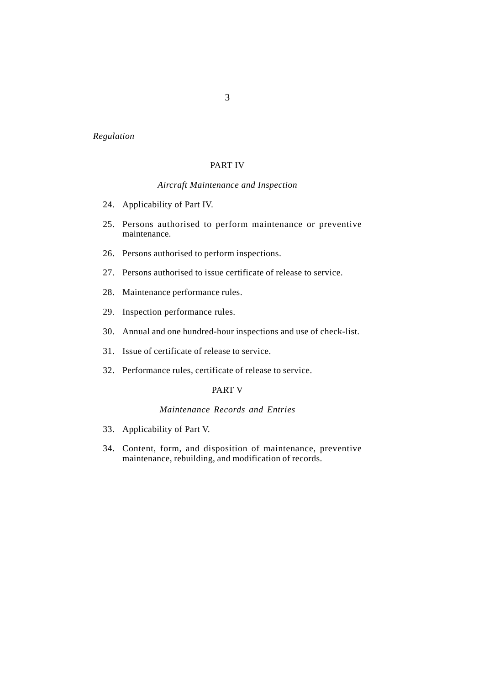### *Regulation*

## PART IV

## *Aircraft Maintenance and Inspection*

- 24. Applicability of Part IV.
- 25. Persons authorised to perform maintenance or preventive maintenance.
- 26. Persons authorised to perform inspections.
- 27. Persons authorised to issue certificate of release to service.
- 28. Maintenance performance rules.
- 29. Inspection performance rules.
- 30. Annual and one hundred-hour inspections and use of check-list.
- 31. Issue of certificate of release to service.
- 32. Performance rules, certificate of release to service.

### PART V

### *Maintenance Records and Entries*

- 33. Applicability of Part V.
- 34. Content, form, and disposition of maintenance, preventive maintenance, rebuilding, and modification of records.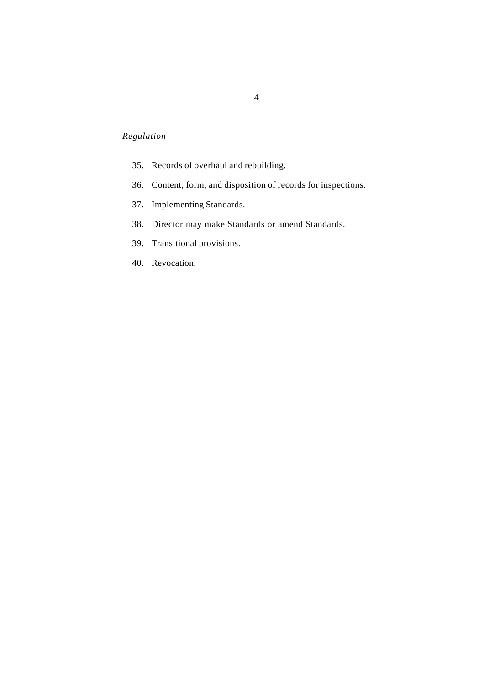# *Regulation*

- 35. Records of overhaul and rebuilding.
- 36. Content, form, and disposition of records for inspections.
- 37. Implementing Standards.
- 38. Director may make Standards or amend Standards.
- 39. Transitional provisions.
- 40. Revocation.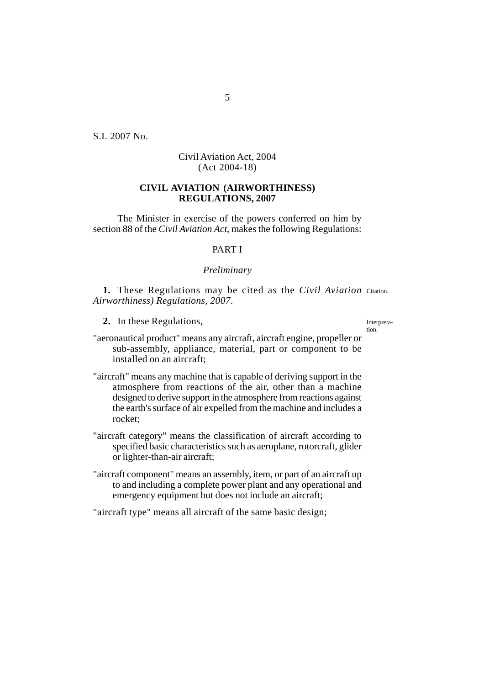S.I. 2007 No.

# Civil Aviation Act, 2004 (Act 2004-18)

# **CIVIL AVIATION (AIRWORTHINESS) REGULATIONS, 2007**

The Minister in exercise of the powers conferred on him by section 88 of the *Civil Aviation Act*, makes the following Regulations:

## PART I

### *Preliminary*

1. These Regulations may be cited as the *Civil Aviation* Citation. *Airworthiness) Regulations, 2007*.

**2.** In these Regulations,

Interpretation.

"aeronautical product" means any aircraft, aircraft engine, propeller or sub-assembly, appliance, material, part or component to be installed on an aircraft;

"aircraft" means any machine that is capable of deriving support in the atmosphere from reactions of the air, other than a machine designed to derive support in the atmosphere from reactions against the earth's surface of air expelled from the machine and includes a rocket;

"aircraft category" means the classification of aircraft according to specified basic characteristics such as aeroplane, rotorcraft, glider or lighter-than-air aircraft;

"aircraft component" means an assembly, item, or part of an aircraft up to and including a complete power plant and any operational and emergency equipment but does not include an aircraft;

"aircraft type" means all aircraft of the same basic design;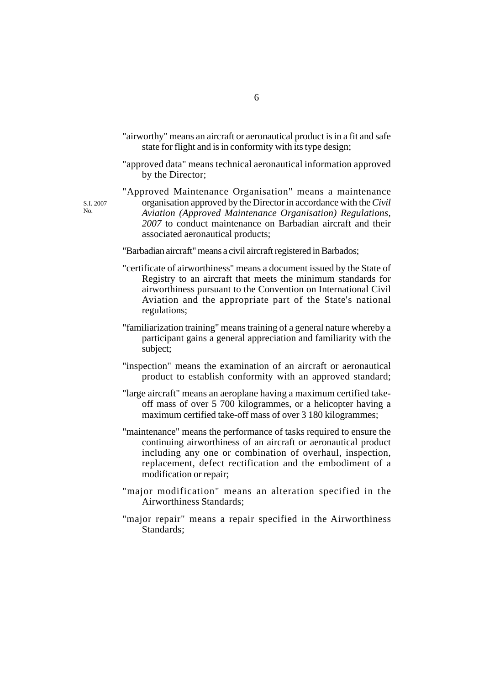- "airworthy" means an aircraft or aeronautical product is in a fit and safe state for flight and is in conformity with its type design;
- "approved data" means technical aeronautical information approved by the Director;
- "Approved Maintenance Organisation" means a maintenance organisation approved by the Director in accordance with the *Civil Aviation (Approved Maintenance Organisation) Regulations, 2007* to conduct maintenance on Barbadian aircraft and their associated aeronautical products;

"Barbadian aircraft" means a civil aircraft registered in Barbados;

S.I. 2007 No.

- "certificate of airworthiness" means a document issued by the State of Registry to an aircraft that meets the minimum standards for airworthiness pursuant to the Convention on International Civil Aviation and the appropriate part of the State's national regulations;
- "familiarization training" means training of a general nature whereby a participant gains a general appreciation and familiarity with the subject;
- "inspection" means the examination of an aircraft or aeronautical product to establish conformity with an approved standard;
- "large aircraft" means an aeroplane having a maximum certified takeoff mass of over 5 700 kilogrammes, or a helicopter having a maximum certified take-off mass of over 3 180 kilogrammes;
- "maintenance" means the performance of tasks required to ensure the continuing airworthiness of an aircraft or aeronautical product including any one or combination of overhaul, inspection, replacement, defect rectification and the embodiment of a modification or repair;
- "major modification" means an alteration specified in the Airworthiness Standards;
- "major repair" means a repair specified in the Airworthiness Standards;

6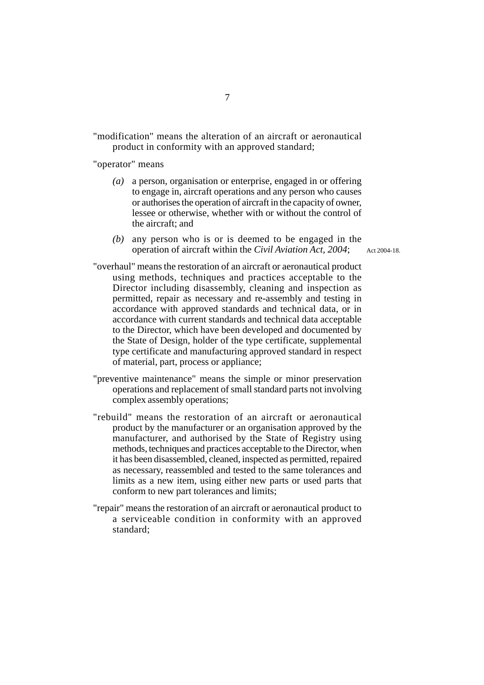"modification" means the alteration of an aircraft or aeronautical product in conformity with an approved standard;

"operator" means

- *(a)* a person, organisation or enterprise, engaged in or offering to engage in, aircraft operations and any person who causes or authorises the operation of aircraft in the capacity of owner, lessee or otherwise, whether with or without the control of the aircraft; and
- *(b)* any person who is or is deemed to be engaged in the operation of aircraft within the *Civil Aviation Act, 2004*;

Act 2004-18.

- "overhaul" means the restoration of an aircraft or aeronautical product using methods, techniques and practices acceptable to the Director including disassembly, cleaning and inspection as permitted, repair as necessary and re-assembly and testing in accordance with approved standards and technical data, or in accordance with current standards and technical data acceptable to the Director, which have been developed and documented by the State of Design, holder of the type certificate, supplemental type certificate and manufacturing approved standard in respect of material, part, process or appliance;
- "preventive maintenance" means the simple or minor preservation operations and replacement of small standard parts not involving complex assembly operations;
- "rebuild" means the restoration of an aircraft or aeronautical product by the manufacturer or an organisation approved by the manufacturer, and authorised by the State of Registry using methods, techniques and practices acceptable to the Director, when it has been disassembled, cleaned, inspected as permitted, repaired as necessary, reassembled and tested to the same tolerances and limits as a new item, using either new parts or used parts that conform to new part tolerances and limits;
- "repair" means the restoration of an aircraft or aeronautical product to a serviceable condition in conformity with an approved standard;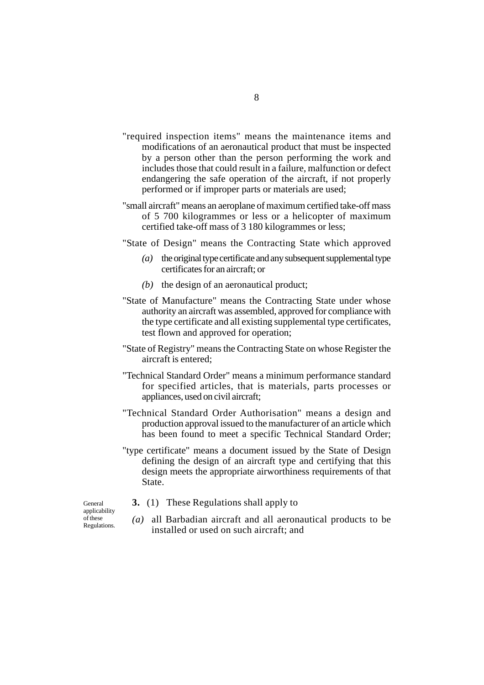- "required inspection items" means the maintenance items and modifications of an aeronautical product that must be inspected by a person other than the person performing the work and includes those that could result in a failure, malfunction or defect endangering the safe operation of the aircraft, if not properly performed or if improper parts or materials are used;
- "small aircraft" means an aeroplane of maximum certified take-off mass of 5 700 kilogrammes or less or a helicopter of maximum certified take-off mass of 3 180 kilogrammes or less;
- "State of Design" means the Contracting State which approved
	- *(a)* the original type certificate and any subsequent supplemental type certificates for an aircraft; or
	- *(b)* the design of an aeronautical product;
- "State of Manufacture" means the Contracting State under whose authority an aircraft was assembled, approved for compliance with the type certificate and all existing supplemental type certificates, test flown and approved for operation;
- "State of Registry" means the Contracting State on whose Register the aircraft is entered;
- "Technical Standard Order" means a minimum performance standard for specified articles, that is materials, parts processes or appliances, used on civil aircraft;
- "Technical Standard Order Authorisation" means a design and production approval issued to the manufacturer of an article which has been found to meet a specific Technical Standard Order;
- "type certificate" means a document issued by the State of Design defining the design of an aircraft type and certifying that this design meets the appropriate airworthiness requirements of that State.

General applicability of these Regulations.

- **3.** (1) These Regulations shall apply to
- *(a)* all Barbadian aircraft and all aeronautical products to be installed or used on such aircraft; and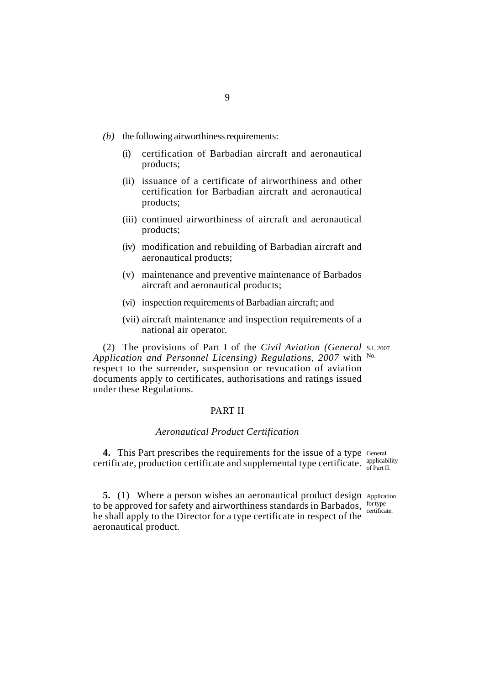- *(b)* the following airworthiness requirements:
	- (i) certification of Barbadian aircraft and aeronautical products;
	- (ii) issuance of a certificate of airworthiness and other certification for Barbadian aircraft and aeronautical products;
	- (iii) continued airworthiness of aircraft and aeronautical products;
	- (iv) modification and rebuilding of Barbadian aircraft and aeronautical products;
	- (v) maintenance and preventive maintenance of Barbados aircraft and aeronautical products;
	- (vi) inspection requirements of Barbadian aircraft; and
	- (vii) aircraft maintenance and inspection requirements of a national air operator.

(2) The provisions of Part I of the *Civil Aviation (General* S.I. 2007 *Application and Personnel Licensing) Regulations, 2007* with No. respect to the surrender, suspension or revocation of aviation documents apply to certificates, authorisations and ratings issued under these Regulations.

## PART II

## *Aeronautical Product Certification*

4. This Part prescribes the requirements for the issue of a type General certificate, production certificate and supplemental type certificate.  $\frac{\text{applicability}}{\text{of Part II}}$ of Part II.

**5.** (1) Where a person wishes an aeronautical product design Application to be approved for safety and airworthiness standards in Barbados,  $\frac{\text{for type}}{\text{outifor}}$ he shall apply to the Director for a type certificate in respect of the aeronautical product. certificate.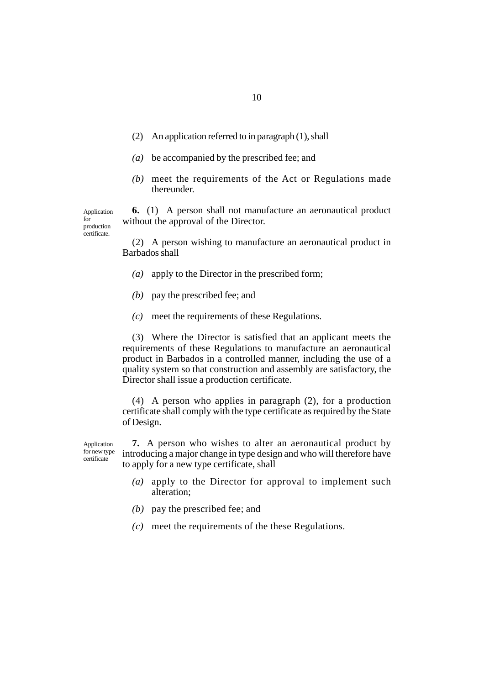- (2) An application referred to in paragraph (1), shall
- *(a)* be accompanied by the prescribed fee; and
- *(b)* meet the requirements of the Act or Regulations made thereunder.

**6.** (1) A person shall not manufacture an aeronautical product without the approval of the Director.

(2) A person wishing to manufacture an aeronautical product in Barbados shall

- *(a)* apply to the Director in the prescribed form;
- *(b)* pay the prescribed fee; and

Application for production certificate.

*(c)* meet the requirements of these Regulations.

(3) Where the Director is satisfied that an applicant meets the requirements of these Regulations to manufacture an aeronautical product in Barbados in a controlled manner, including the use of a quality system so that construction and assembly are satisfactory, the Director shall issue a production certificate.

(4) A person who applies in paragraph (2), for a production certificate shall comply with the type certificate as required by the State of Design.

**7.** A person who wishes to alter an aeronautical product by introducing a major change in type design and who will therefore have to apply for a new type certificate, shall Application for new type certificate

- *(a)* apply to the Director for approval to implement such alteration;
- *(b)* pay the prescribed fee; and
- *(c)* meet the requirements of the these Regulations.

10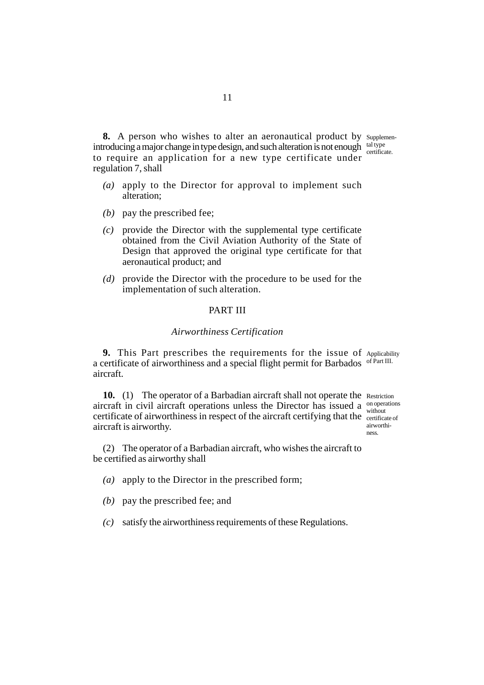**8.** A person who wishes to alter an aeronautical product by supplemenintroducing a major change in type design, and such alteration is not enough  $\frac{\text{tal type}}{\text{outive}}$ to require an application for a new type certificate under certificate. regulation 7, shall

- *(a)* apply to the Director for approval to implement such alteration;
- *(b)* pay the prescribed fee;
- *(c)* provide the Director with the supplemental type certificate obtained from the Civil Aviation Authority of the State of Design that approved the original type certificate for that aeronautical product; and
- *(d)* provide the Director with the procedure to be used for the implementation of such alteration.

## PART III

### *Airworthiness Certification*

**9.** This Part prescribes the requirements for the issue of Applicability a certificate of airworthiness and a special flight permit for Barbados of Part III. aircraft.

10. (1) The operator of a Barbadian aircraft shall not operate the Restriction aircraft in civil aircraft operations unless the Director has issued a  $\frac{on operations}{with not}$ certificate of airworthiness in respect of the aircraft certifying that the certificate of aircraft is airworthy.

without airworthiness.

(2) The operator of a Barbadian aircraft, who wishes the aircraft to be certified as airworthy shall

- *(a)* apply to the Director in the prescribed form;
- *(b)* pay the prescribed fee; and

*(c)* satisfy the airworthiness requirements of these Regulations.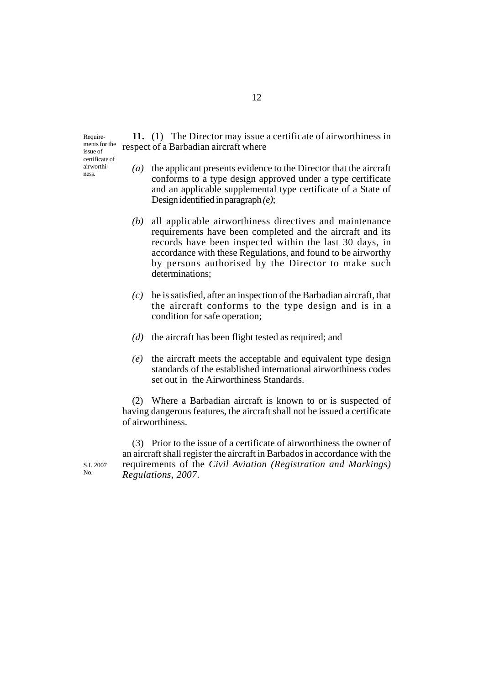Requirements for the issue of certificate of airworthiness.

**11.** (1) The Director may issue a certificate of airworthiness in respect of a Barbadian aircraft where

- *(a)* the applicant presents evidence to the Director that the aircraft conforms to a type design approved under a type certificate and an applicable supplemental type certificate of a State of Design identified in paragraph *(e)*;
- *(b)* all applicable airworthiness directives and maintenance requirements have been completed and the aircraft and its records have been inspected within the last 30 days, in accordance with these Regulations, and found to be airworthy by persons authorised by the Director to make such determinations;
- *(c)* he is satisfied, after an inspection of the Barbadian aircraft, that the aircraft conforms to the type design and is in a condition for safe operation;
- *(d)* the aircraft has been flight tested as required; and
- *(e)* the aircraft meets the acceptable and equivalent type design standards of the established international airworthiness codes set out in the Airworthiness Standards.

(2) Where a Barbadian aircraft is known to or is suspected of having dangerous features, the aircraft shall not be issued a certificate of airworthiness.

(3) Prior to the issue of a certificate of airworthiness the owner of an aircraft shall register the aircraft in Barbados in accordance with the requirements of the *Civil Aviation (Registration and Markings) Regulations, 2007*.

S.I. 2007 No.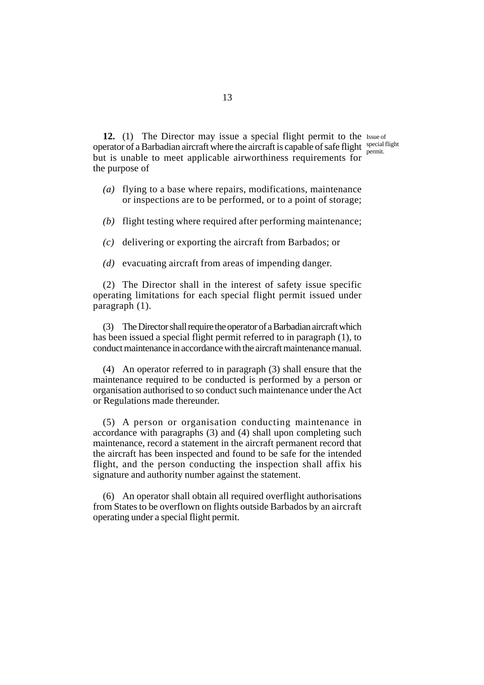12. (1) The Director may issue a special flight permit to the Issue of operator of a Barbadian aircraft where the aircraft is capable of safe flight special flight but is unable to meet applicable airworthiness requirements for the purpose of permit.

- *(a)* flying to a base where repairs, modifications, maintenance or inspections are to be performed, or to a point of storage;
- *(b)* flight testing where required after performing maintenance;
- *(c)* delivering or exporting the aircraft from Barbados; or
- *(d)* evacuating aircraft from areas of impending danger.

(2) The Director shall in the interest of safety issue specific operating limitations for each special flight permit issued under paragraph (1).

(3) The Director shall require the operator of a Barbadian aircraft which has been issued a special flight permit referred to in paragraph (1), to conduct maintenance in accordance with the aircraft maintenance manual.

(4) An operator referred to in paragraph (3) shall ensure that the maintenance required to be conducted is performed by a person or organisation authorised to so conduct such maintenance under the Act or Regulations made thereunder.

(5) A person or organisation conducting maintenance in accordance with paragraphs (3) and (4) shall upon completing such maintenance, record a statement in the aircraft permanent record that the aircraft has been inspected and found to be safe for the intended flight, and the person conducting the inspection shall affix his signature and authority number against the statement.

(6) An operator shall obtain all required overflight authorisations from States to be overflown on flights outside Barbados by an aircraft operating under a special flight permit.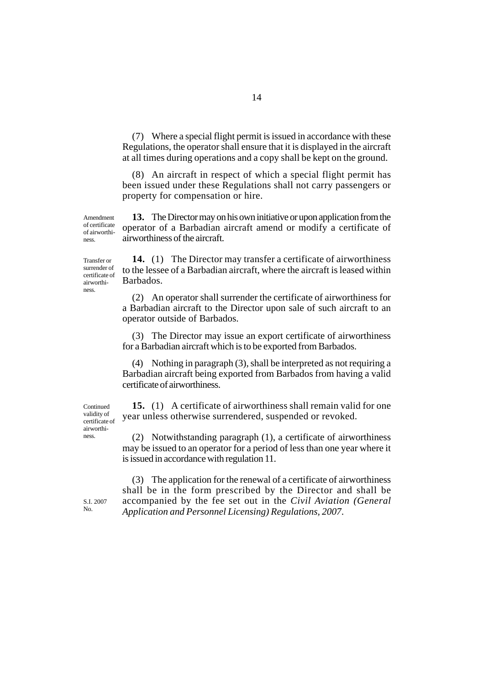(7) Where a special flight permit is issued in accordance with these Regulations, the operator shall ensure that it is displayed in the aircraft at all times during operations and a copy shall be kept on the ground.

(8) An aircraft in respect of which a special flight permit has been issued under these Regulations shall not carry passengers or property for compensation or hire.

**13.** The Director may on his own initiative or upon application from the operator of a Barbadian aircraft amend or modify a certificate of airworthiness of the aircraft. Amendment of certificate of airworthi-

Transfer or surrender of certificate of airworthiness.

ness.

**14.** (1) The Director may transfer a certificate of airworthiness to the lessee of a Barbadian aircraft, where the aircraft is leased within Barbados.

(2) An operator shall surrender the certificate of airworthiness for a Barbadian aircraft to the Director upon sale of such aircraft to an operator outside of Barbados.

(3) The Director may issue an export certificate of airworthiness for a Barbadian aircraft which is to be exported from Barbados.

(4) Nothing in paragraph (3), shall be interpreted as not requiring a Barbadian aircraft being exported from Barbados from having a valid certificate of airworthiness.

**15.** (1) A certificate of airworthiness shall remain valid for one year unless otherwise surrendered, suspended or revoked.

(2) Notwithstanding paragraph (1), a certificate of airworthiness may be issued to an operator for a period of less than one year where it is issued in accordance with regulation 11.

(3) The application for the renewal of a certificate of airworthiness shall be in the form prescribed by the Director and shall be accompanied by the fee set out in the *Civil Aviation (General Application and Personnel Licensing) Regulations, 2007*.

ness.

**Continued** validity of certificate of airworthi-

S.I. 2007 No.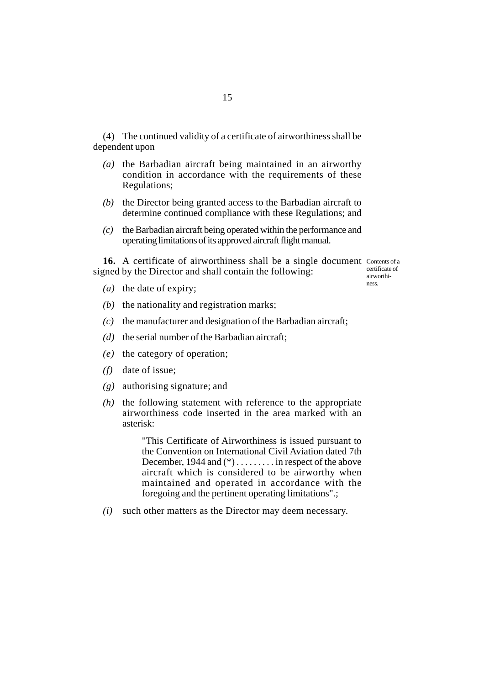(4) The continued validity of a certificate of airworthiness shall be dependent upon

- *(a)* the Barbadian aircraft being maintained in an airworthy condition in accordance with the requirements of these Regulations;
- *(b)* the Director being granted access to the Barbadian aircraft to determine continued compliance with these Regulations; and
- *(c)* the Barbadian aircraft being operated within the performance and operating limitations of its approved aircraft flight manual.

16. A certificate of airworthiness shall be a single document Contents of a signed by the Director and shall contain the following:

certificate of airworthiness.

- *(a)* the date of expiry;
- *(b)* the nationality and registration marks;
- *(c)* the manufacturer and designation of the Barbadian aircraft;
- *(d)* the serial number of the Barbadian aircraft;
- *(e)* the category of operation;
- *(f)* date of issue;
- *(g)* authorising signature; and
- *(h)* the following statement with reference to the appropriate airworthiness code inserted in the area marked with an asterisk:

"This Certificate of Airworthiness is issued pursuant to the Convention on International Civil Aviation dated 7th December, 1944 and (\*) . . . . . . . . . in respect of the above aircraft which is considered to be airworthy when maintained and operated in accordance with the foregoing and the pertinent operating limitations".;

*(i)* such other matters as the Director may deem necessary.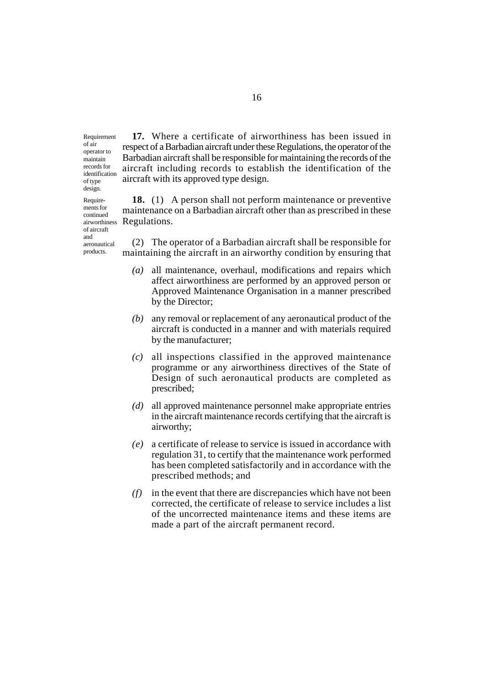Requirement of air operator to maintain records for identification of type design.

Requirements for continued

of aircraft and aeronautical products.

**17.** Where a certificate of airworthiness has been issued in respect of a Barbadian aircraft under these Regulations, the operator of the Barbadian aircraft shall be responsible for maintaining the records of the aircraft including records to establish the identification of the aircraft with its approved type design.

**18.** (1) A person shall not perform maintenance or preventive maintenance on a Barbadian aircraft other than as prescribed in these Regulations. airworthiness

> (2) The operator of a Barbadian aircraft shall be responsible for maintaining the aircraft in an airworthy condition by ensuring that

- *(a)* all maintenance, overhaul, modifications and repairs which affect airworthiness are performed by an approved person or Approved Maintenance Organisation in a manner prescribed by the Director;
- *(b)* any removal or replacement of any aeronautical product of the aircraft is conducted in a manner and with materials required by the manufacturer;
- *(c)* all inspections classified in the approved maintenance programme or any airworthiness directives of the State of Design of such aeronautical products are completed as prescribed;
- *(d)* all approved maintenance personnel make appropriate entries in the aircraft maintenance records certifying that the aircraft is airworthy;
- *(e)* a certificate of release to service is issued in accordance with regulation 31, to certify that the maintenance work performed has been completed satisfactorily and in accordance with the prescribed methods; and
- *(f)* in the event that there are discrepancies which have not been corrected, the certificate of release to service includes a list of the uncorrected maintenance items and these items are made a part of the aircraft permanent record.

16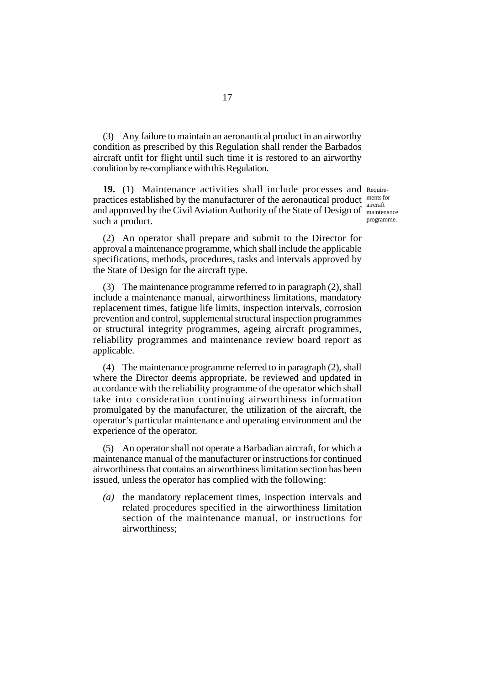(3) Any failure to maintain an aeronautical product in an airworthy condition as prescribed by this Regulation shall render the Barbados aircraft unfit for flight until such time it is restored to an airworthy condition by re-compliance with this Regulation.

19. (1) Maintenance activities shall include processes and Requirepractices established by the manufacturer of the aeronautical product and approved by the Civil Aviation Authority of the State of Design of such a product.

ments for aircraft maintenance programme.

(2) An operator shall prepare and submit to the Director for approval a maintenance programme, which shall include the applicable specifications, methods, procedures, tasks and intervals approved by the State of Design for the aircraft type.

(3) The maintenance programme referred to in paragraph (2), shall include a maintenance manual, airworthiness limitations, mandatory replacement times, fatigue life limits, inspection intervals, corrosion prevention and control, supplemental structural inspection programmes or structural integrity programmes, ageing aircraft programmes, reliability programmes and maintenance review board report as applicable.

(4) The maintenance programme referred to in paragraph (2), shall where the Director deems appropriate, be reviewed and updated in accordance with the reliability programme of the operator which shall take into consideration continuing airworthiness information promulgated by the manufacturer, the utilization of the aircraft, the operator's particular maintenance and operating environment and the experience of the operator.

(5) An operator shall not operate a Barbadian aircraft, for which a maintenance manual of the manufacturer or instructions for continued airworthiness that contains an airworthiness limitation section has been issued, unless the operator has complied with the following:

*(a)* the mandatory replacement times, inspection intervals and related procedures specified in the airworthiness limitation section of the maintenance manual, or instructions for airworthiness;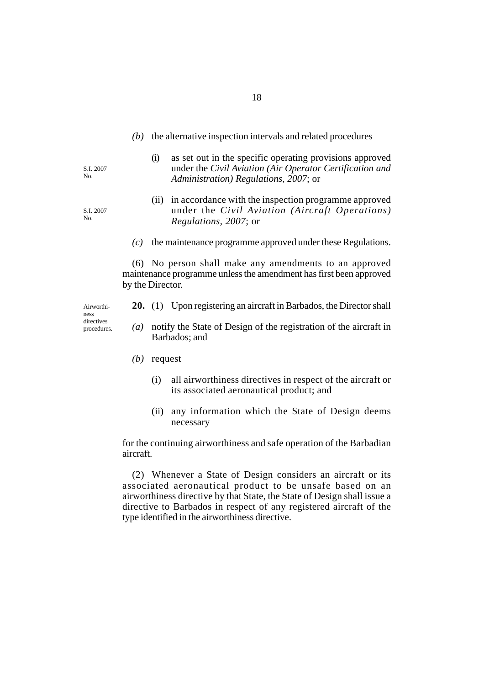- *(b)* the alternative inspection intervals and related procedures
	- (i) as set out in the specific operating provisions approved under the *Civil Aviation (Air Operator Certification and Administration) Regulations, 2007*; or
	- (ii) in accordance with the inspection programme approved under the *Civil Aviation (Aircraft Operations) Regulations, 2007*; or
- *(c)* the maintenance programme approved under these Regulations.

(6) No person shall make any amendments to an approved maintenance programme unless the amendment has first been approved by the Director.

- **20.** (1) Upon registering an aircraft in Barbados, the Director shall
- *(a)* notify the State of Design of the registration of the aircraft in Barbados; and
- *(b)* request
	- (i) all airworthiness directives in respect of the aircraft or its associated aeronautical product; and
	- (ii) any information which the State of Design deems necessary

for the continuing airworthiness and safe operation of the Barbadian aircraft.

(2) Whenever a State of Design considers an aircraft or its associated aeronautical product to be unsafe based on an airworthiness directive by that State, the State of Design shall issue a directive to Barbados in respect of any registered aircraft of the type identified in the airworthiness directive.

S.I. 2007 No.

S.I. 2007 No.

Airworthiness directives procedures.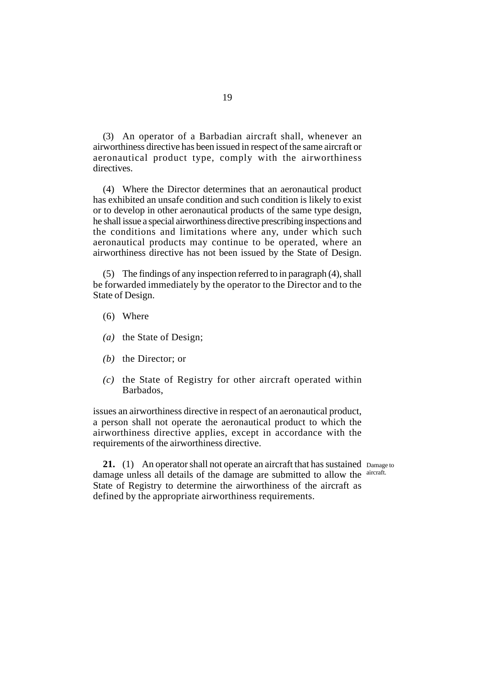(3) An operator of a Barbadian aircraft shall, whenever an airworthiness directive has been issued in respect of the same aircraft or aeronautical product type, comply with the airworthiness directives.

(4) Where the Director determines that an aeronautical product has exhibited an unsafe condition and such condition is likely to exist or to develop in other aeronautical products of the same type design, he shall issue a special airworthiness directive prescribing inspections and the conditions and limitations where any, under which such aeronautical products may continue to be operated, where an airworthiness directive has not been issued by the State of Design.

(5) The findings of any inspection referred to in paragraph (4), shall be forwarded immediately by the operator to the Director and to the State of Design.

- (6) Where
- *(a)* the State of Design;
- *(b)* the Director; or
- *(c)* the State of Registry for other aircraft operated within Barbados,

issues an airworthiness directive in respect of an aeronautical product, a person shall not operate the aeronautical product to which the airworthiness directive applies, except in accordance with the requirements of the airworthiness directive.

21. (1) An operator shall not operate an aircraft that has sustained Damage to damage unless all details of the damage are submitted to allow the aircraft. State of Registry to determine the airworthiness of the aircraft as defined by the appropriate airworthiness requirements.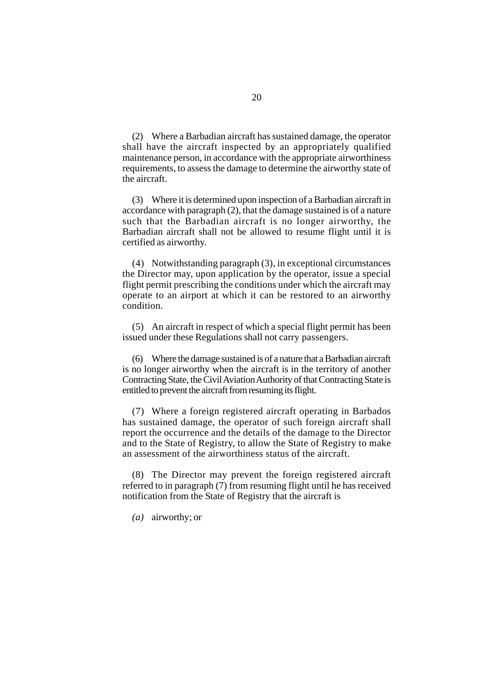(2) Where a Barbadian aircraft has sustained damage, the operator shall have the aircraft inspected by an appropriately qualified maintenance person, in accordance with the appropriate airworthiness requirements, to assess the damage to determine the airworthy state of the aircraft.

(3) Where it is determined upon inspection of a Barbadian aircraft in accordance with paragraph (2), that the damage sustained is of a nature such that the Barbadian aircraft is no longer airworthy, the Barbadian aircraft shall not be allowed to resume flight until it is certified as airworthy.

(4) Notwithstanding paragraph (3), in exceptional circumstances the Director may, upon application by the operator, issue a special flight permit prescribing the conditions under which the aircraft may operate to an airport at which it can be restored to an airworthy condition.

(5) An aircraft in respect of which a special flight permit has been issued under these Regulations shall not carry passengers.

(6) Where the damage sustained is of a nature that a Barbadian aircraft is no longer airworthy when the aircraft is in the territory of another Contracting State, the Civil Aviation Authority of that Contracting State is entitled to prevent the aircraft from resuming its flight.

(7) Where a foreign registered aircraft operating in Barbados has sustained damage, the operator of such foreign aircraft shall report the occurrence and the details of the damage to the Director and to the State of Registry, to allow the State of Registry to make an assessment of the airworthiness status of the aircraft.

(8) The Director may prevent the foreign registered aircraft referred to in paragraph (7) from resuming flight until he has received notification from the State of Registry that the aircraft is

*(a)* airworthy; or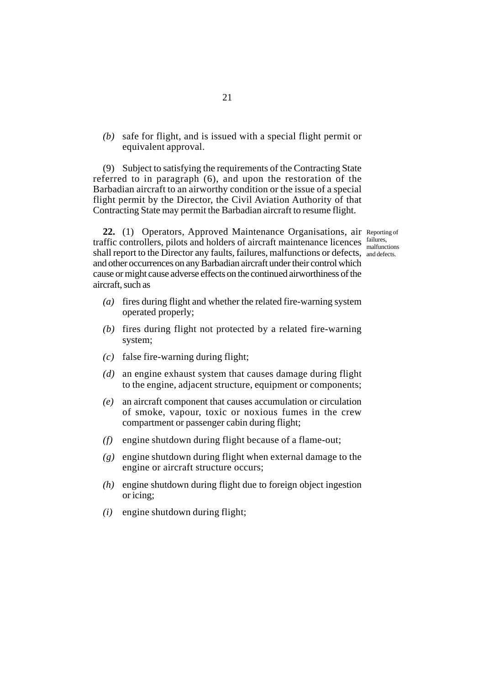*(b)* safe for flight, and is issued with a special flight permit or equivalent approval.

(9) Subject to satisfying the requirements of the Contracting State referred to in paragraph (6), and upon the restoration of the Barbadian aircraft to an airworthy condition or the issue of a special flight permit by the Director, the Civil Aviation Authority of that Contracting State may permit the Barbadian aircraft to resume flight.

malfunctions

22. (1) Operators, Approved Maintenance Organisations, air Reporting of traffic controllers, pilots and holders of aircraft maintenance licences failures, shall report to the Director any faults, failures, malfunctions or defects, and defects. and other occurrences on any Barbadian aircraft under their control which cause or might cause adverse effects on the continued airworthiness of the aircraft, such as

- *(a)* fires during flight and whether the related fire-warning system operated properly;
- *(b)* fires during flight not protected by a related fire-warning system;
- *(c)* false fire-warning during flight;
- *(d)* an engine exhaust system that causes damage during flight to the engine, adjacent structure, equipment or components;
- *(e)* an aircraft component that causes accumulation or circulation of smoke, vapour, toxic or noxious fumes in the crew compartment or passenger cabin during flight;
- *(f)* engine shutdown during flight because of a flame-out;
- *(g)* engine shutdown during flight when external damage to the engine or aircraft structure occurs;
- *(h)* engine shutdown during flight due to foreign object ingestion or icing;
- *(i)* engine shutdown during flight;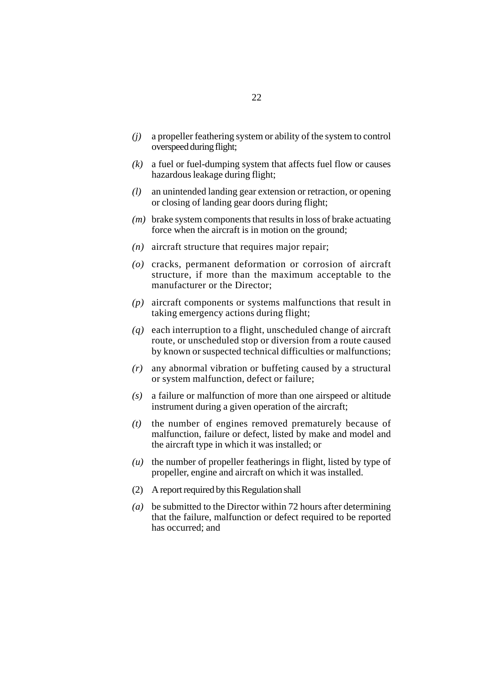- *(j)* a propeller feathering system or ability of the system to control overspeed during flight;
- *(k)* a fuel or fuel-dumping system that affects fuel flow or causes hazardous leakage during flight;
- *(l)* an unintended landing gear extension or retraction, or opening or closing of landing gear doors during flight;
- *(m)* brake system components that results in loss of brake actuating force when the aircraft is in motion on the ground;
- *(n)* aircraft structure that requires major repair;
- *(o)* cracks, permanent deformation or corrosion of aircraft structure, if more than the maximum acceptable to the manufacturer or the Director;
- *(p)* aircraft components or systems malfunctions that result in taking emergency actions during flight;
- *(q)* each interruption to a flight, unscheduled change of aircraft route, or unscheduled stop or diversion from a route caused by known or suspected technical difficulties or malfunctions;
- *(r)* any abnormal vibration or buffeting caused by a structural or system malfunction, defect or failure;
- *(s)* a failure or malfunction of more than one airspeed or altitude instrument during a given operation of the aircraft;
- *(t)* the number of engines removed prematurely because of malfunction, failure or defect, listed by make and model and the aircraft type in which it was installed; or
- *(u)* the number of propeller featherings in flight, listed by type of propeller, engine and aircraft on which it was installed.
- (2) A report required by this Regulation shall
- *(a)* be submitted to the Director within 72 hours after determining that the failure, malfunction or defect required to be reported has occurred; and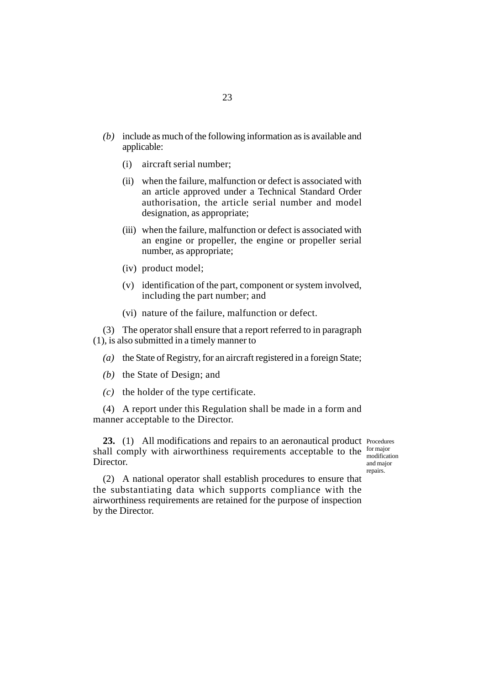- *(b)* include as much of the following information as is available and applicable:
	- (i) aircraft serial number;
	- (ii) when the failure, malfunction or defect is associated with an article approved under a Technical Standard Order authorisation, the article serial number and model designation, as appropriate;
	- (iii) when the failure, malfunction or defect is associated with an engine or propeller, the engine or propeller serial number, as appropriate;
	- (iv) product model;
	- (v) identification of the part, component or system involved, including the part number; and
	- (vi) nature of the failure, malfunction or defect.

(3) The operator shall ensure that a report referred to in paragraph (1), is also submitted in a timely manner to

- *(a)* the State of Registry, for an aircraft registered in a foreign State;
- *(b)* the State of Design; and
- *(c)* the holder of the type certificate.

(4) A report under this Regulation shall be made in a form and manner acceptable to the Director.

23. (1) All modifications and repairs to an aeronautical product Procedures shall comply with airworthiness requirements acceptable to the  $_{\text{median}}^{\text{for major}}$ **Director** 

modification and major repairs.

(2) A national operator shall establish procedures to ensure that the substantiating data which supports compliance with the airworthiness requirements are retained for the purpose of inspection by the Director.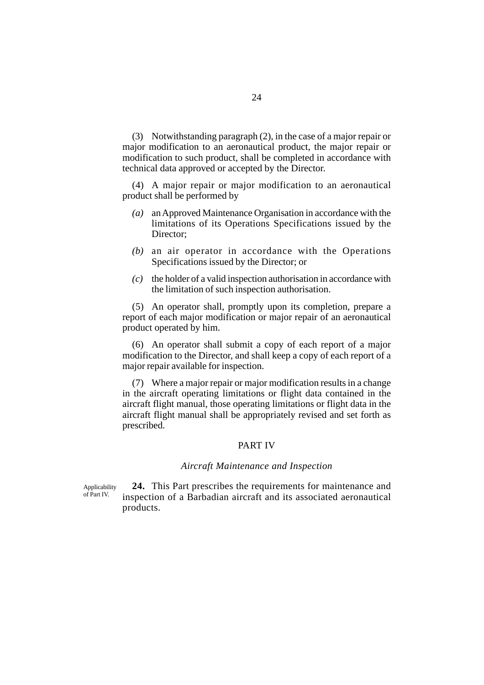(3) Notwithstanding paragraph (2), in the case of a major repair or major modification to an aeronautical product, the major repair or modification to such product, shall be completed in accordance with technical data approved or accepted by the Director.

(4) A major repair or major modification to an aeronautical product shall be performed by

- *(a)* an Approved Maintenance Organisation in accordance with the limitations of its Operations Specifications issued by the Director;
- *(b)* an air operator in accordance with the Operations Specifications issued by the Director; or
- *(c)* the holder of a valid inspection authorisation in accordance with the limitation of such inspection authorisation.

(5) An operator shall, promptly upon its completion, prepare a report of each major modification or major repair of an aeronautical product operated by him.

(6) An operator shall submit a copy of each report of a major modification to the Director, and shall keep a copy of each report of a major repair available for inspection.

(7) Where a major repair or major modification results in a change in the aircraft operating limitations or flight data contained in the aircraft flight manual, those operating limitations or flight data in the aircraft flight manual shall be appropriately revised and set forth as prescribed.

## PART IV

#### *Aircraft Maintenance and Inspection*

**24.** This Part prescribes the requirements for maintenance and inspection of a Barbadian aircraft and its associated aeronautical products. Applicability of Part IV.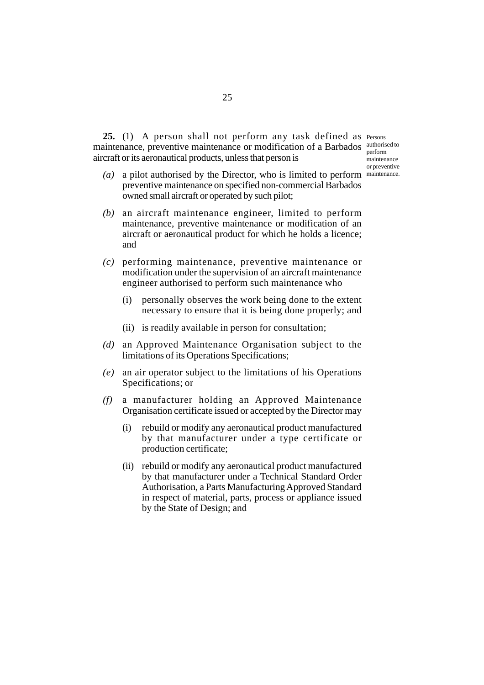**25.** (1) A person shall not perform any task defined as Persons maintenance, preventive maintenance or modification of a Barbados authorised to aircraft or its aeronautical products, unless that person is

perform **maintenance** or preventive

- (a) a pilot authorised by the Director, who is limited to perform maintenance. preventive maintenance on specified non-commercial Barbados owned small aircraft or operated by such pilot;
- *(b)* an aircraft maintenance engineer, limited to perform maintenance, preventive maintenance or modification of an aircraft or aeronautical product for which he holds a licence; and
- *(c)* performing maintenance, preventive maintenance or modification under the supervision of an aircraft maintenance engineer authorised to perform such maintenance who
	- (i) personally observes the work being done to the extent necessary to ensure that it is being done properly; and
	- (ii) is readily available in person for consultation;
- *(d)* an Approved Maintenance Organisation subject to the limitations of its Operations Specifications;
- *(e)* an air operator subject to the limitations of his Operations Specifications; or
- *(f)* a manufacturer holding an Approved Maintenance Organisation certificate issued or accepted by the Director may
	- (i) rebuild or modify any aeronautical product manufactured by that manufacturer under a type certificate or production certificate;
	- (ii) rebuild or modify any aeronautical product manufactured by that manufacturer under a Technical Standard Order Authorisation, a Parts Manufacturing Approved Standard in respect of material, parts, process or appliance issued by the State of Design; and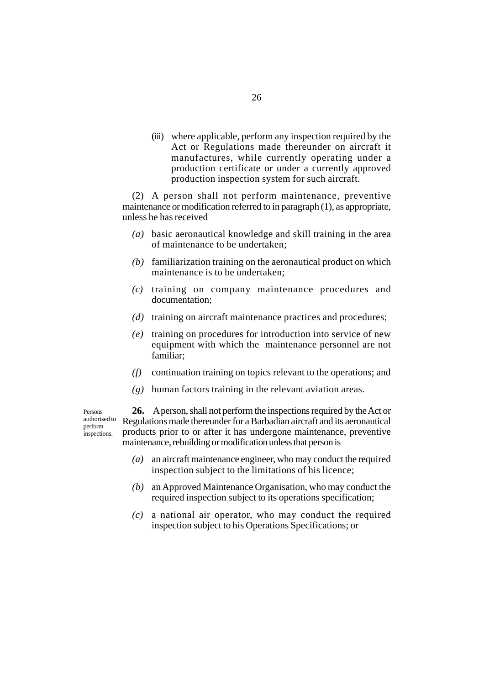(iii) where applicable, perform any inspection required by the Act or Regulations made thereunder on aircraft it manufactures, while currently operating under a production certificate or under a currently approved production inspection system for such aircraft.

(2) A person shall not perform maintenance, preventive maintenance or modification referred to in paragraph (1), as appropriate, unless he has received

- *(a)* basic aeronautical knowledge and skill training in the area of maintenance to be undertaken;
- *(b)* familiarization training on the aeronautical product on which maintenance is to be undertaken;
- *(c)* training on company maintenance procedures and documentation;
- *(d)* training on aircraft maintenance practices and procedures;
- *(e)* training on procedures for introduction into service of new equipment with which the maintenance personnel are not familiar;
- *(f)* continuation training on topics relevant to the operations; and
- *(g)* human factors training in the relevant aviation areas.

Persons authorised to perform inspections.

**26.** A person, shall not perform the inspections required by the Act or Regulations made thereunder for a Barbadian aircraft and its aeronautical products prior to or after it has undergone maintenance, preventive maintenance, rebuilding or modification unless that person is

- *(a)* an aircraft maintenance engineer, who may conduct the required inspection subject to the limitations of his licence;
- *(b)* an Approved Maintenance Organisation, who may conduct the required inspection subject to its operations specification;
- *(c)* a national air operator, who may conduct the required inspection subject to his Operations Specifications; or

26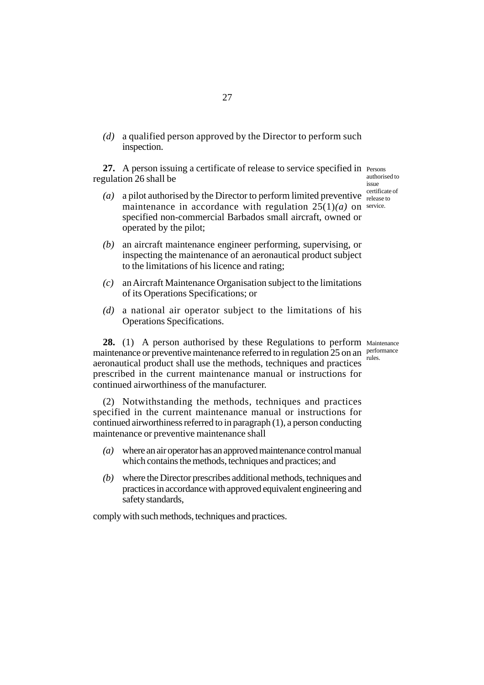*(d)* a qualified person approved by the Director to perform such inspection.

27. A person issuing a certificate of release to service specified in Persons regulation 26 shall be

- (a) a pilot authorised by the Director to perform limited preventive  $\frac{\text{certificance of}}{\text{release to}}$ maintenance in accordance with regulation  $25(1)(a)$  on service. specified non-commercial Barbados small aircraft, owned or operated by the pilot;
- *(b)* an aircraft maintenance engineer performing, supervising, or inspecting the maintenance of an aeronautical product subject to the limitations of his licence and rating;
- *(c)* an Aircraft Maintenance Organisation subject to the limitations of its Operations Specifications; or
- *(d)* a national air operator subject to the limitations of his Operations Specifications.

28. (1) A person authorised by these Regulations to perform Maintenance maintenance or preventive maintenance referred to in regulation 25 on an performance aeronautical product shall use the methods, techniques and practices prescribed in the current maintenance manual or instructions for continued airworthiness of the manufacturer.

(2) Notwithstanding the methods, techniques and practices specified in the current maintenance manual or instructions for continued airworthiness referred to in paragraph (1), a person conducting maintenance or preventive maintenance shall

- *(a)* where an air operator has an approved maintenance control manual which contains the methods, techniques and practices; and
- *(b)* where the Director prescribes additional methods, techniques and practices in accordance with approved equivalent engineering and safety standards,

comply with such methods, techniques and practices.

authorised to issue release to

rules.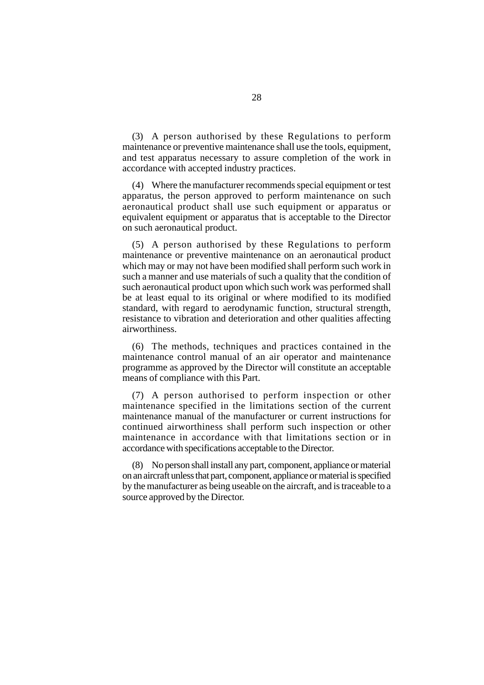(3) A person authorised by these Regulations to perform maintenance or preventive maintenance shall use the tools, equipment, and test apparatus necessary to assure completion of the work in accordance with accepted industry practices.

(4) Where the manufacturer recommends special equipment or test apparatus, the person approved to perform maintenance on such aeronautical product shall use such equipment or apparatus or equivalent equipment or apparatus that is acceptable to the Director on such aeronautical product.

(5) A person authorised by these Regulations to perform maintenance or preventive maintenance on an aeronautical product which may or may not have been modified shall perform such work in such a manner and use materials of such a quality that the condition of such aeronautical product upon which such work was performed shall be at least equal to its original or where modified to its modified standard, with regard to aerodynamic function, structural strength, resistance to vibration and deterioration and other qualities affecting airworthiness.

(6) The methods, techniques and practices contained in the maintenance control manual of an air operator and maintenance programme as approved by the Director will constitute an acceptable means of compliance with this Part.

(7) A person authorised to perform inspection or other maintenance specified in the limitations section of the current maintenance manual of the manufacturer or current instructions for continued airworthiness shall perform such inspection or other maintenance in accordance with that limitations section or in accordance with specifications acceptable to the Director.

(8) No person shall install any part, component, appliance or material on an aircraft unless that part, component, appliance or material is specified by the manufacturer as being useable on the aircraft, and is traceable to a source approved by the Director.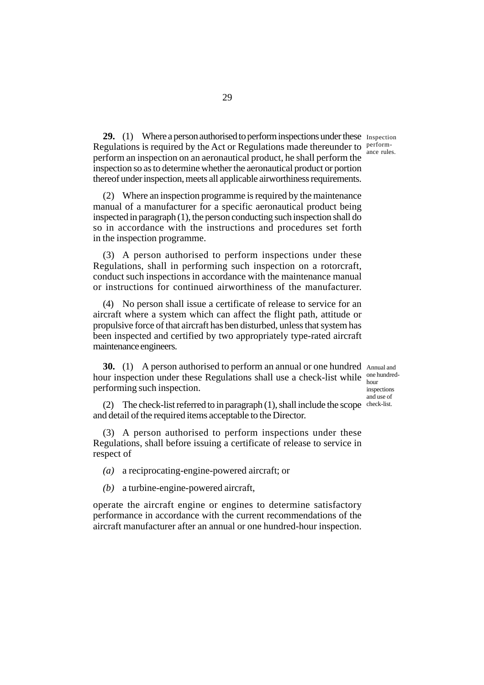ance rules.

29. (1) Where a person authorised to perform inspections under these Inspection Regulations is required by the Act or Regulations made thereunder to  $perform$ perform an inspection on an aeronautical product, he shall perform the inspection so as to determine whether the aeronautical product or portion thereof under inspection, meets all applicable airworthiness requirements.

(2) Where an inspection programme is required by the maintenance manual of a manufacturer for a specific aeronautical product being inspected in paragraph (1), the person conducting such inspection shall do so in accordance with the instructions and procedures set forth in the inspection programme.

(3) A person authorised to perform inspections under these Regulations, shall in performing such inspection on a rotorcraft, conduct such inspections in accordance with the maintenance manual or instructions for continued airworthiness of the manufacturer.

(4) No person shall issue a certificate of release to service for an aircraft where a system which can affect the flight path, attitude or propulsive force of that aircraft has ben disturbed, unless that system has been inspected and certified by two appropriately type-rated aircraft maintenance engineers.

**30.** (1) A person authorised to perform an annual or one hundred Annual and hour inspection under these Regulations shall use a check-list while one hundredperforming such inspection.

hour inspections and use of

(2) The check-list referred to in paragraph (1), shall include the scope check-list. and detail of the required items acceptable to the Director.

(3) A person authorised to perform inspections under these Regulations, shall before issuing a certificate of release to service in respect of

*(a)* a reciprocating-engine-powered aircraft; or

*(b)* a turbine-engine-powered aircraft,

operate the aircraft engine or engines to determine satisfactory performance in accordance with the current recommendations of the aircraft manufacturer after an annual or one hundred-hour inspection.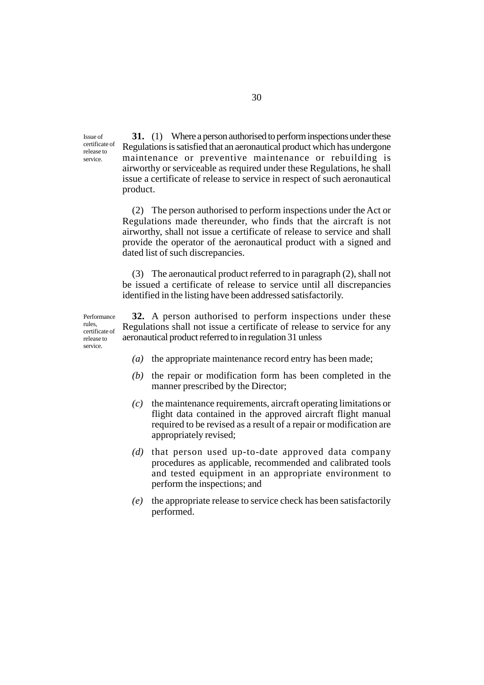Issue of certificate of release to service.

**31.** (1) Where a person authorised to perform inspections under these Regulations is satisfied that an aeronautical product which has undergone maintenance or preventive maintenance or rebuilding is airworthy or serviceable as required under these Regulations, he shall issue a certificate of release to service in respect of such aeronautical product.

(2) The person authorised to perform inspections under the Act or Regulations made thereunder, who finds that the aircraft is not airworthy, shall not issue a certificate of release to service and shall provide the operator of the aeronautical product with a signed and dated list of such discrepancies.

(3) The aeronautical product referred to in paragraph (2), shall not be issued a certificate of release to service until all discrepancies identified in the listing have been addressed satisfactorily.

Performance rules, certificate of release to service.

**32.** A person authorised to perform inspections under these Regulations shall not issue a certificate of release to service for any aeronautical product referred to in regulation 31 unless

- *(a)* the appropriate maintenance record entry has been made;
- *(b)* the repair or modification form has been completed in the manner prescribed by the Director;
- *(c)* the maintenance requirements, aircraft operating limitations or flight data contained in the approved aircraft flight manual required to be revised as a result of a repair or modification are appropriately revised;
- *(d)* that person used up-to-date approved data company procedures as applicable, recommended and calibrated tools and tested equipment in an appropriate environment to perform the inspections; and
- *(e)* the appropriate release to service check has been satisfactorily performed.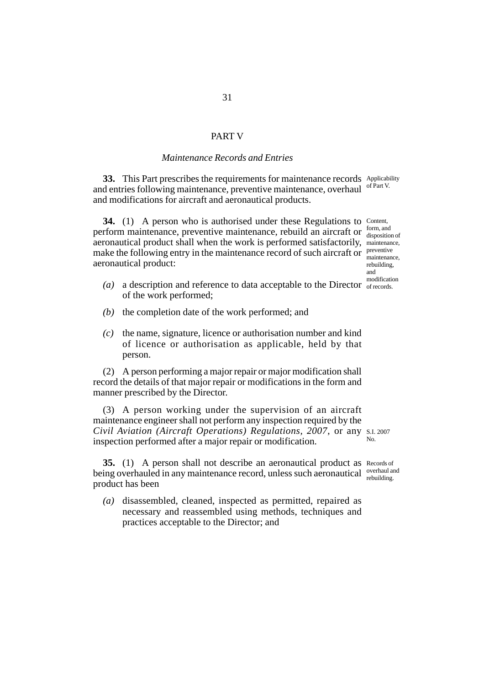#### PART V

## *Maintenance Records and Entries*

**33.** This Part prescribes the requirements for maintenance records Applicability and entries following maintenance, preventive maintenance, overhaul and modifications for aircraft and aeronautical products. of Part V.

34. (1) A person who is authorised under these Regulations to Content, perform maintenance, preventive maintenance, rebuild an aircraft or form, and aeronautical product shall when the work is performed satisfactorily, maintenance, make the following entry in the maintenance record of such aircraft or preventive aeronautical product: disposition of maintenance, rebuilding, and

- (a) a description and reference to data acceptable to the Director  $\frac{1}{\text{of records.}}$ of the work performed; modification
- *(b)* the completion date of the work performed; and
- *(c)* the name, signature, licence or authorisation number and kind of licence or authorisation as applicable, held by that person.

(2) A person performing a major repair or major modification shall record the details of that major repair or modifications in the form and manner prescribed by the Director.

(3) A person working under the supervision of an aircraft maintenance engineer shall not perform any inspection required by the *Civil Aviation (Aircraft Operations) Regulations, 2007*, or any S.I. 2007 inspection performed after a major repair or modification. No.

**35.** (1) A person shall not describe an aeronautical product as Records of being overhauled in any maintenance record, unless such aeronautical overhauland product has been

*(a)* disassembled, cleaned, inspected as permitted, repaired as necessary and reassembled using methods, techniques and practices acceptable to the Director; and

rebuilding.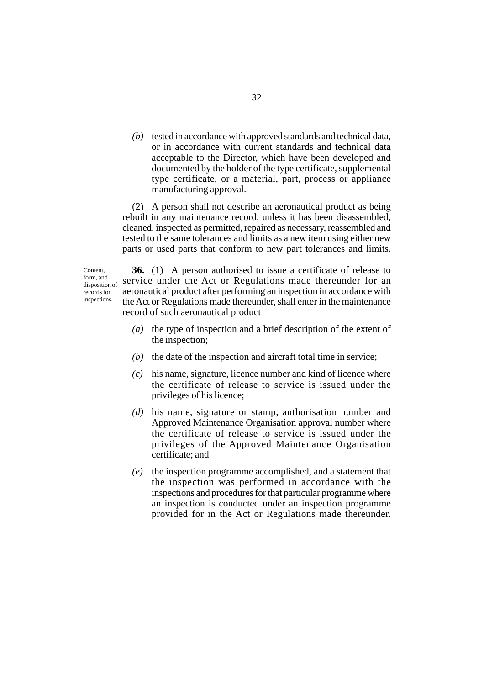*(b)* tested in accordance with approved standards and technical data, or in accordance with current standards and technical data acceptable to the Director, which have been developed and documented by the holder of the type certificate, supplemental type certificate, or a material, part, process or appliance manufacturing approval.

(2) A person shall not describe an aeronautical product as being rebuilt in any maintenance record, unless it has been disassembled, cleaned, inspected as permitted, repaired as necessary, reassembled and tested to the same tolerances and limits as a new item using either new parts or used parts that conform to new part tolerances and limits.

Content, form, and disposition of records for inspections.

**36.** (1) A person authorised to issue a certificate of release to service under the Act or Regulations made thereunder for an aeronautical product after performing an inspection in accordance with the Act or Regulations made thereunder, shall enter in the maintenance record of such aeronautical product

- *(a)* the type of inspection and a brief description of the extent of the inspection;
- *(b)* the date of the inspection and aircraft total time in service;
- *(c)* his name, signature, licence number and kind of licence where the certificate of release to service is issued under the privileges of his licence;
- *(d)* his name, signature or stamp, authorisation number and Approved Maintenance Organisation approval number where the certificate of release to service is issued under the privileges of the Approved Maintenance Organisation certificate; and
- *(e)* the inspection programme accomplished, and a statement that the inspection was performed in accordance with the inspections and procedures for that particular programme where an inspection is conducted under an inspection programme provided for in the Act or Regulations made thereunder.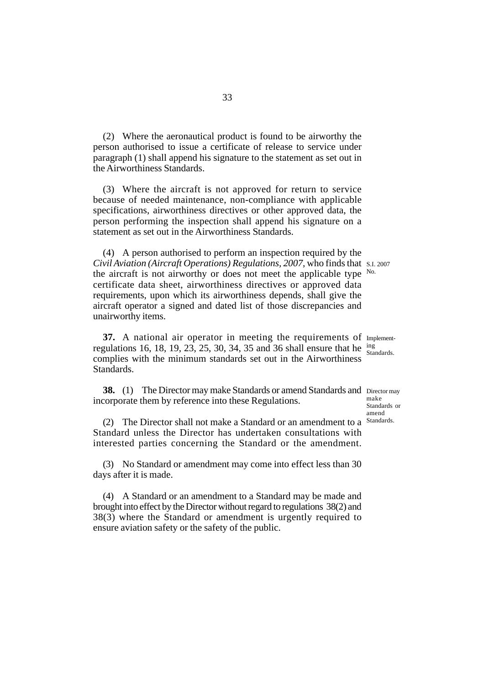(2) Where the aeronautical product is found to be airworthy the person authorised to issue a certificate of release to service under paragraph (1) shall append his signature to the statement as set out in the Airworthiness Standards.

(3) Where the aircraft is not approved for return to service because of needed maintenance, non-compliance with applicable specifications, airworthiness directives or other approved data, the person performing the inspection shall append his signature on a statement as set out in the Airworthiness Standards.

(4) A person authorised to perform an inspection required by the *Civil Aviation (Aircraft Operations) Regulations, 2007*, who finds that S.I. 2007 the aircraft is not airworthy or does not meet the applicable type  $N_0$ . certificate data sheet, airworthiness directives or approved data requirements, upon which its airworthiness depends, shall give the aircraft operator a signed and dated list of those discrepancies and unairworthy items.

**37.** A national air operator in meeting the requirements of Implementregulations 16, 18, 19, 23, 25, 30, 34, 35 and 36 shall ensure that he  $\frac{100}{516}$ complies with the minimum standards set out in the Airworthiness Standards<sub>.</sub>

**38.** (1) The Director may make Standards or amend Standards and Director may incorporate them by reference into these Regulations.

(2) The Director shall not make a Standard or an amendment to a Standards. Standard unless the Director has undertaken consultations with interested parties concerning the Standard or the amendment.

(3) No Standard or amendment may come into effect less than 30 days after it is made.

(4) A Standard or an amendment to a Standard may be made and brought into effect by the Director without regard to regulations 38(2) and 38(3) where the Standard or amendment is urgently required to ensure aviation safety or the safety of the public.

Standards.

make Standards or amend